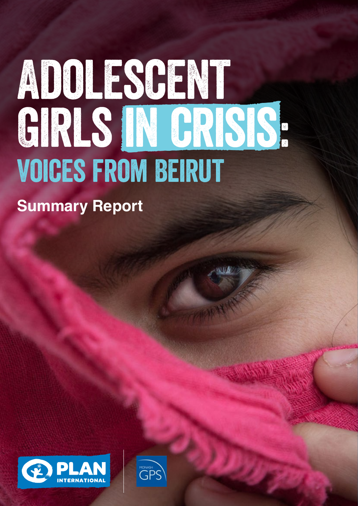# ADOLESCENT GIRLS IN CRISIS. VOICES FROM BEIRUT

**Summary Report**



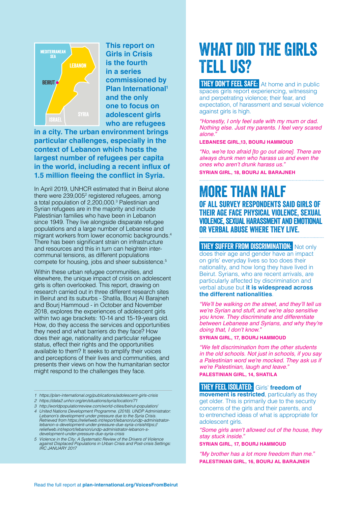

**This report on Girls in Crisis is the fourth in a series commissioned by Plan International1 and the only one to focus on adolescent girls who are refugees** 

**in a city. The urban environment brings particular challenges, especially in the context of Lebanon which hosts the largest number of refugees per capita in the world, including a recent influx of 1.5 million fleeing the conflict in Syria.**

In April 2019, UNHCR estimated that in Beirut alone there were 239,005<sup>2</sup> registered refugees, among a total population of 2,200,000.<sup>3</sup> Palestinian and Syrian refugees are in the majority and include Palestinian families who have been in Lebanon since 1949. They live alongside disparate refugee populations and a large number of Lebanese and migrant workers from lower economic backgrounds.4 There has been significant strain on infrastructure and resources and this in turn can heighten intercommunal tensions, as different populations compete for housing, jobs and sheer subsistence.<sup>5</sup>

Within these urban refugee communities, and elsewhere, the unique impact of crisis on adolescent girls is often overlooked. This report, drawing on research carried out in three different research sites in Beirut and its suburbs - Shatila, Bourj Al Barajneh and Bourj Hammoud - in October and November 2018, explores the experiences of adolescent girls within two age brackets: 10-14 and 15-19-years old. How, do they access the services and opportunities they need and what barriers do they face? How does their age, nationality and particular refugee status, effect their rights and the opportunities available to them? It seeks to amplify their voices and perceptions of their lives and communities, and presents their views on how the humanitarian sector might respond to the challenges they face.

- *1 https://plan-international.org/publications/adolescent-girls-crisis*
- *2 https://data2.unhcr.org/en/situations/syria/location/71*
- *3 http://worldpopulationreview.com/world-cities/beirut-population/*

*4 United Nations Development Programme. (2018). UNDP Administrator: Lebanon's development under pressure due to the Syria Crisis. Retrieved from https://reliefweb.int/report/lebanon/undp-administratorlebanon-s-development-under-pressure-due-syria-crisishttps:// reliefweb.int/report/lebanon/undp-administrator-lebanon-sdevelopment-under-pressure-due-syria-crisis*

*5 Violence in the City: A Systematic Review of the Drivers of Violence against Displaced Populations in Urban Crisis and Post-crisis Settings: IRC JANUARY 2017*

# What Did The Girls Tell Us?

**THEY DON'T FEEL SAFE:** At home and in public spaces girls report experiencing, witnessing and perpetrating violence; their fear, and expectation, of harassment and sexual violence against girls is high.

*"Honestly, I only feel safe with my mum or dad. Nothing else. Just my parents. I feel very scared alone."* 

**LEBANESE GIRL,13, BOURJ HAMMOUD**

"No, we're too afraid [to go out alone]. There are *always drunk men who harass us and even the*  ones who aren't drunk harass us." **SYRIAN GIRL, 18, BOURJ AL BARAJNEH**

# More than half of all survey respondents said girls of

their age face physical violence, sexual violence, sexual harassment and emotional or verbal abuse where they live.

**THEY SUFFER FROM DISCRIMINATION:** Not only does their age and gender have an impact on girls' everyday lives so too does their nationality, and how long they have lived in Beirut. Syrians, who are recent arrivals, are particularly affected by discrimination and verbal abuse but **it is widespread across the different nationalities**.

"We'll be walking on the street, and they'll tell us we're Syrian and stuff, and we're also sensitive you know. They discriminate and differentiate between Lebanese and Syrians, and why they're doing that, I don't know."

# **SYRIAN GIRL, 17, BOURJ HAMMOUD**

*"We felt discrimination from the other students in the old schools. Not just in schools, if you say*  a Palestinian word we're mocked. They ask us if we're Palestinian, laugh and leave."

**PALESTINIAN GIRL, 14, SHATILA**

# **THEY FEEL ISOLATED:** Girls' freedom of

**movement is restricted**, particularly as they get older. This is primarily due to the security concerns of the girls and their parents, and to entrenched ideas of what is appropriate for adolescent girls.

"Some girls aren't allowed out of the house, they *stay stuck inside."* 

**SYRIAN GIRL, 17, BOURJ HAMMOUD**

"My brother has a lot more freedom than me." **PALESTINIAN GIRL, 16, BOURJ AL BARAJNEH**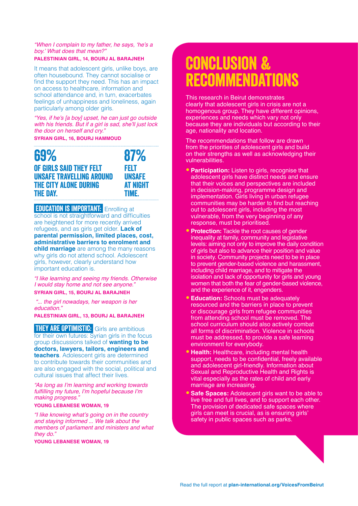# "When I complain to my father, he says, 'he's a boy.' What does that mean?"

# **PALESTINIAN GIRL, 14, BOURJ AL BARAJNEH**

It means that adolescent girls, unlike boys, are often housebound. They cannot socialise or find the support they need. This has an impact on access to healthcare, information and school attendance and, in turn, exacerbates feelings of unhappiness and loneliness, again particularly among older girls.

"Yes, if he's [a boy] upset, he can just go outside with his friends. But if a girl is sad, she'll just lock *the door on herself and cry."*

# **SYRIAN GIRL, 16, BOURJ HAMMOUD**

| 69%                          | 87%             |
|------------------------------|-----------------|
| OF GIRLS SAID THEY FELT      | FELT            |
| UNSAFE TRAVELLING AROUND     | <b>UNSAFE</b>   |
| <b>THE CITY ALONE DURING</b> | <b>AT NIGHT</b> |
| <b>THE DAY.</b>              | <b>TIME.</b>    |

# **EDUCATION IS IMPORTANT:** Enrolling at

school is not straightforward and difficulties are heightened for more recently arrived refugees, and as girls get older. **Lack of parental permission, limited places, cost, administrative barriers to enrolment and child marriage** are among the many reasons why girls do not attend school. Adolescent girls, however, clearly understand how important education is.

*"I like learning and seeing my friends. Otherwise I would stay home and not see anyone."* 

**SYRIAN GIRL, 15, BOURJ AL BARAJNEH**

 *"... the girl nowadays, her weapon is her education."* 

**PALESTINIAN GIRL, 13, BOURJ AL BARAJNEH**

**THEY ARE OPTIMISTIC:** Girls are ambitious for their own futures: Syrian girls in the focus group discussions talked of **wanting to be doctors, lawyers, tailors, engineers and teachers**. Adolescent girls are determined to contribute towards their communities and are also engaged with the social, political and cultural issues that affect their lives.

"As long as I'm learning and working towards fulfilling my future, I'm hopeful because I'm *making progress."* 

# **YOUNG LEBANESE WOMAN, 19**

"I like knowing what's going on in the country and staying informed ... We talk about the members of parliament and ministers and what *they do."* 

## **YOUNG LEBANESE WOMAN, 19**

# Conclusion & recommendations

This research in Beirut demonstrates clearly that adolescent girls in crisis are not a homogenous group. They have different opinions, experiences and needs which vary not only because they are individuals but according to their age, nationality and location.

The recommendations that follow are drawn from the priorities of adolescent girls and build on their strengths as well as acknowledging their vulnerabilities.

- **Participation:** Listen to girls, recognise that adolescent girls have distinct needs and ensure that their voices and perspectives are included in decision-making, programme design and implementation. Girls living in urban refugee communities may be harder to find but reaching out to adolescent girls, including the most vulnerable, from the very beginning of any response, must be prioritised.
- **Protection:** Tackle the root causes of gender inequality at family, community and legislative levels: aiming not only to improve the daily condition of girls but also to advance their position and value in society. Community projects need to be in place to prevent gender-based violence and harassment, including child marriage, and to mitigate the isolation and lack of opportunity for girls and young women that both the fear of gender-based violence, and the experience of it, engenders.
- **Education:** Schools must be adequately resourced and the barriers in place to prevent or discourage girls from refugee communities from attending school must be removed. The school curriculum should also actively combat all forms of discrimination. Violence in schools must be addressed, to provide a safe learning environment for everybody.
- **Health:** Healthcare, including mental health support, needs to be confidential, freely available and adolescent girl-friendly. Information about Sexual and Reproductive Health and Rights is vital especially as the rates of child and early marriage are increasing.
- **Safe Spaces: Adolescent girls want to be able to** live free and full lives, and to support each other. The provision of dedicated safe spaces where girls can meet is crucial, as is ensuring girls' safety in public spaces such as parks.